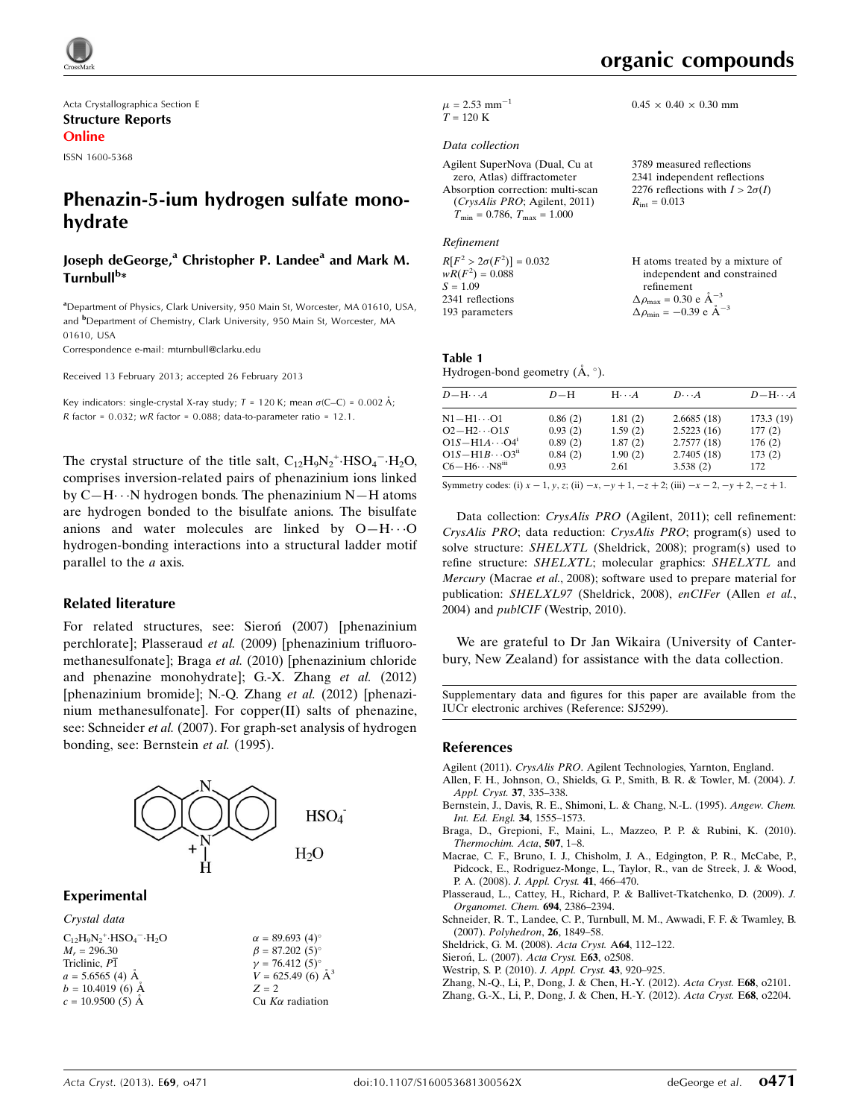

Acta Crystallographica Section E Structure Reports Online

ISSN 1600-5368

## Phenazin-5-ium hydrogen sulfate monohydrate

#### Joseph deGeorge,<sup>a</sup> Christopher P. Landee<sup>a</sup> and Mark M. Turnbull<sup>b</sup>\*

<sup>a</sup>Department of Physics, Clark University, 950 Main St, Worcester, MA 01610, USA, and <sup>b</sup>Department of Chemistry, Clark University, 950 Main St, Worcester, MA 01610, USA

Correspondence e-mail: [mturnbull@clarku.edu](https://scripts.iucr.org/cgi-bin/cr.cgi?rm=pdfbb&cnor=sj5299&bbid=BB12)

Received 13 February 2013; accepted 26 February 2013

Key indicators: single-crystal X-ray study;  $T = 120$  K; mean  $\sigma$ (C–C) = 0.002 Å; R factor =  $0.032$ ; wR factor =  $0.088$ ; data-to-parameter ratio =  $12.1$ .

The crystal structure of the title salt,  $C_{12}H_9N_2$ <sup>+</sup>·HSO<sub>4</sub><sup>-</sup>·H<sub>2</sub>O, comprises inversion-related pairs of phenazinium ions linked by C-H $\cdots$ N hydrogen bonds. The phenazinium N-H atoms are hydrogen bonded to the bisulfate anions. The bisulfate anions and water molecules are linked by  $O-H \cdot \cdot \cdot O$ hydrogen-bonding interactions into a structural ladder motif parallel to the a axis.

#### Related literature

For related structures, see: Sieron<sup>(2007)</sup> [phenazinium] perchlorate]; Plasseraud et al. (2009) [phenazinium trifluoromethanesulfonate]; Braga et al. (2010) [phenazinium chloride and phenazine monohydrate]; G.-X. Zhang et al. (2012) [phenazinium bromide]; N.-Q. Zhang et al. (2012) [phenazinium methanesulfonate]. For copper(II) salts of phenazine, see: Schneider et al. (2007). For graph-set analysis of hydrogen bonding, see: Bernstein et al. (1995).



#### Experimental

| Crystal data                                                                |                           |
|-----------------------------------------------------------------------------|---------------------------|
| $C_{12}H_0N_2$ <sup>+</sup> HSO <sub>4</sub> <sup>-</sup> ·H <sub>2</sub> O | $\alpha = 89.693(4)$ °    |
| $M_r = 296.30$                                                              | $\beta = 87.202(5)$ °     |
| Triclinic, $P\overline{1}$                                                  | $\gamma = 76.412(5)$ °    |
| $a = 5.6565$ (4) Å                                                          | $V = 625.49(6)$ $\AA^3$   |
| $b = 10.4019$ (6) Å                                                         | $Z = 2$                   |
| $c = 10.9500(5)$ Å                                                          | $Cu$ K $\alpha$ radiation |

 $0.45 \times 0.40 \times 0.30$  mm

3789 measured reflections 2341 independent reflections 2276 reflections with  $I > 2\sigma(I)$ 

 $R_{\rm int} = 0.013$ 

 $\mu$  = 2.53 mm<sup>-1</sup>  $T = 120 K$ 

#### Data collection

Agilent SuperNova (Dual, Cu at zero, Atlas) diffractometer Absorption correction: multi-scan (CrysAlis PRO; Agilent, 2011)  $T_{\min} = 0.786, T_{\max} = 1.000$ 

#### Refinement

| $R[F^2 > 2\sigma(F^2)] = 0.032$<br>$wR(F^2) = 0.088$ | H atoms treated by a mixture of                                                                           |
|------------------------------------------------------|-----------------------------------------------------------------------------------------------------------|
| $S = 1.09$                                           | independent and constrained<br>refinement                                                                 |
| 2341 reflections<br>193 parameters                   | $\Delta \rho_{\text{max}} = 0.30 \text{ e A}^{-3}$<br>$\Delta \rho_{\text{min}} = -0.39 \text{ e A}^{-3}$ |

Table 1 Hydrogen-bond geometry  $(\mathring{A}, \degree)$ .

| $D - H \cdots A$                   | $D-H$   | $H \cdot \cdot \cdot A$ | $D\cdots A$ | $D - H \cdots A$ |
|------------------------------------|---------|-------------------------|-------------|------------------|
| $N1 - H1 \cdots 01$                | 0.86(2) | 1.81(2)                 | 2.6685(18)  | 173.3 (19)       |
| $O2-H2\cdots O1S$                  | 0.93(2) | 1.59(2)                 | 2.5223(16)  | 177(2)           |
| $O1S-H1A\cdots O4$ <sup>1</sup>    | 0.89(2) | 1.87(2)                 | 2.7577 (18) | 176(2)           |
| $O1S-H1B\cdots O3ii$               | 0.84(2) | 1.90(2)                 | 2.7405(18)  | 173(2)           |
| $C6 - H6 \cdots N8$ <sup>iii</sup> | 0.93    | 2.61                    | 3.538(2)    | 172              |

Symmetry codes: (i)  $x - 1$ ,  $y$ ,  $z$ ; (ii)  $-x$ ,  $-y + 1$ ,  $-z + 2$ ; (iii)  $-x - 2$ ,  $-y + 2$ ,  $-z + 1$ .

Data collection: CrysAlis PRO (Agilent, 2011); cell refinement: CrysAlis PRO; data reduction: CrysAlis PRO; program(s) used to solve structure: SHELXTL (Sheldrick, 2008); program(s) used to refine structure: SHELXTL; molecular graphics: SHELXTL and Mercury (Macrae et al., 2008); software used to prepare material for publication: SHELXL97 (Sheldrick, 2008), enCIFer (Allen et al., 2004) and publCIF (Westrip, 2010).

We are grateful to Dr Jan Wikaira (University of Canterbury, New Zealand) for assistance with the data collection.

Supplementary data and figures for this paper are available from the IUCr electronic archives (Reference: SJ5299).

#### References

- Agilent (2011). CrysAlis PRO[. Agilent Technologies, Yarnton, England.](https://scripts.iucr.org/cgi-bin/cr.cgi?rm=pdfbb&cnor=sj5299&bbid=BB1)
- [Allen, F. H., Johnson, O., Shields, G. P., Smith, B. R. & Towler, M. \(2004\).](https://scripts.iucr.org/cgi-bin/cr.cgi?rm=pdfbb&cnor=sj5299&bbid=BB2) J. [Appl. Cryst.](https://scripts.iucr.org/cgi-bin/cr.cgi?rm=pdfbb&cnor=sj5299&bbid=BB2) 37, 335–338.
- [Bernstein, J., Davis, R. E., Shimoni, L. & Chang, N.-L. \(1995\).](https://scripts.iucr.org/cgi-bin/cr.cgi?rm=pdfbb&cnor=sj5299&bbid=BB3) Angew. Chem. [Int. Ed. Engl.](https://scripts.iucr.org/cgi-bin/cr.cgi?rm=pdfbb&cnor=sj5299&bbid=BB3) 34, 1555–1573.
- [Braga, D., Grepioni, F., Maini, L., Mazzeo, P. P. & Rubini, K. \(2010\).](https://scripts.iucr.org/cgi-bin/cr.cgi?rm=pdfbb&cnor=sj5299&bbid=BB4) [Thermochim. Acta](https://scripts.iucr.org/cgi-bin/cr.cgi?rm=pdfbb&cnor=sj5299&bbid=BB4), 507, 1–8.
- [Macrae, C. F., Bruno, I. J., Chisholm, J. A., Edgington, P. R., McCabe, P.,](https://scripts.iucr.org/cgi-bin/cr.cgi?rm=pdfbb&cnor=sj5299&bbid=BB5) [Pidcock, E., Rodriguez-Monge, L., Taylor, R., van de Streek, J. & Wood,](https://scripts.iucr.org/cgi-bin/cr.cgi?rm=pdfbb&cnor=sj5299&bbid=BB5) P. A. (2008). [J. Appl. Cryst.](https://scripts.iucr.org/cgi-bin/cr.cgi?rm=pdfbb&cnor=sj5299&bbid=BB5) 41, 466–470.
- [Plasseraud, L., Cattey, H., Richard, P. & Ballivet-Tkatchenko, D. \(2009\).](https://scripts.iucr.org/cgi-bin/cr.cgi?rm=pdfbb&cnor=sj5299&bbid=BB6) J. [Organomet. Chem.](https://scripts.iucr.org/cgi-bin/cr.cgi?rm=pdfbb&cnor=sj5299&bbid=BB6) 694, 2386–2394.
- [Schneider, R. T., Landee, C. P., Turnbull, M. M., Awwadi, F. F. & Twamley, B.](https://scripts.iucr.org/cgi-bin/cr.cgi?rm=pdfbb&cnor=sj5299&bbid=BB7) (2007). [Polyhedron](https://scripts.iucr.org/cgi-bin/cr.cgi?rm=pdfbb&cnor=sj5299&bbid=BB7), 26, 1849–58.
- [Sheldrick, G. M. \(2008\).](https://scripts.iucr.org/cgi-bin/cr.cgi?rm=pdfbb&cnor=sj5299&bbid=BB8) Acta Cryst. A64, 112–122.
- Sieroń, L. (2007). Acta Cryst. E63, o2508.
- [Westrip, S. P. \(2010\).](https://scripts.iucr.org/cgi-bin/cr.cgi?rm=pdfbb&cnor=sj5299&bbid=BB10) J. Appl. Cryst. 43, 920–925.
- [Zhang, N.-Q., Li, P., Dong, J. & Chen, H.-Y. \(2012\).](https://scripts.iucr.org/cgi-bin/cr.cgi?rm=pdfbb&cnor=sj5299&bbid=BB11) Acta Cryst. E68, o2101.
- [Zhang, G.-X., Li, P., Dong, J. & Chen, H.-Y. \(2012\).](https://scripts.iucr.org/cgi-bin/cr.cgi?rm=pdfbb&cnor=sj5299&bbid=BB12) Acta Cryst. E68, o2204.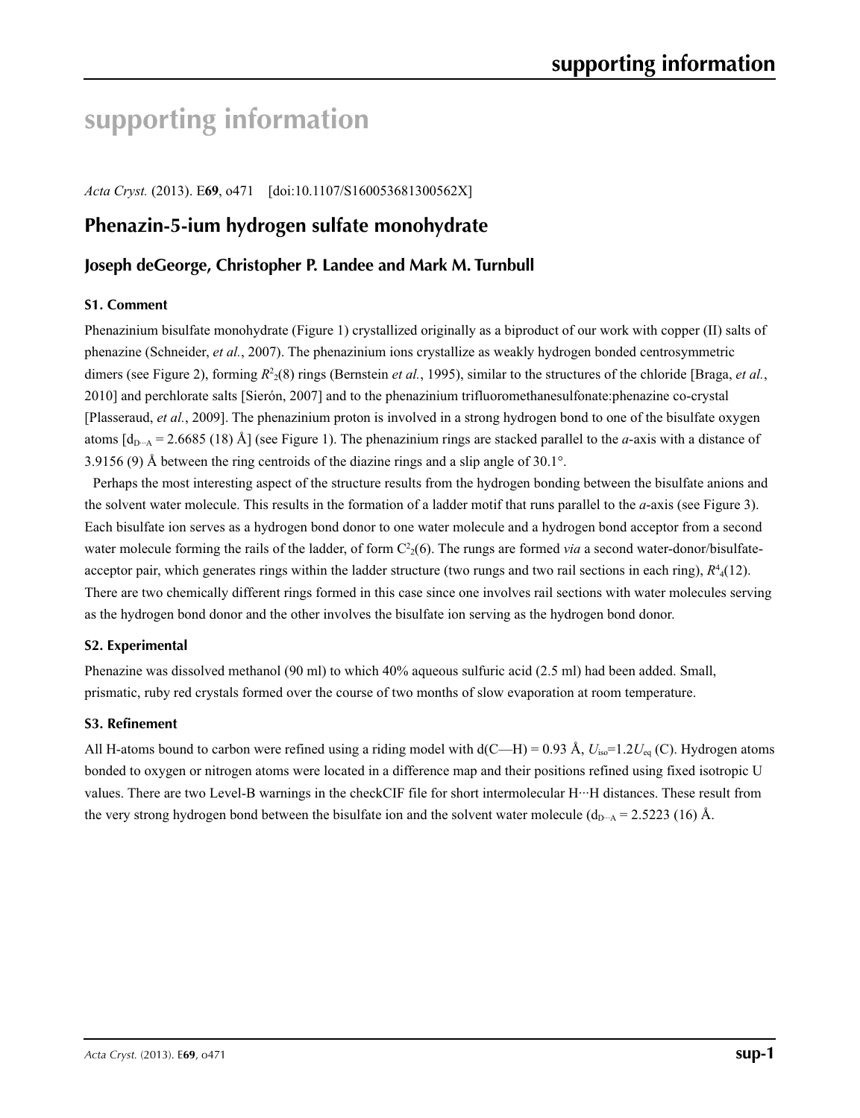# **supporting information**

*Acta Cryst.* (2013). E**69**, o471 [doi:10.1107/S160053681300562X]

# **Phenazin-5-ium hydrogen sulfate monohydrate**

## **Joseph deGeorge, Christopher P. Landee and Mark M. Turnbull**

### **S1. Comment**

Phenazinium bisulfate monohydrate (Figure 1) crystallized originally as a biproduct of our work with copper (II) salts of phenazine (Schneider, *et al.*, 2007). The phenazinium ions crystallize as weakly hydrogen bonded centrosymmetric dimers (see Figure 2), forming  $R^2(8)$  rings (Bernstein *et al.*, 1995), similar to the structures of the chloride [Braga, *et al.*, 2010] and perchlorate salts [Sierón, 2007] and to the phenazinium trifluoromethanesulfonate:phenazine co-crystal [Plasseraud, *et al.*, 2009]. The phenazinium proton is involved in a strong hydrogen bond to one of the bisulfate oxygen atoms  $[d_{D-A} = 2.6685 (18)$  Å (see Figure 1). The phenazinium rings are stacked parallel to the *a*-axis with a distance of 3.9156 (9) Å between the ring centroids of the diazine rings and a slip angle of 30.1°.

Perhaps the most interesting aspect of the structure results from the hydrogen bonding between the bisulfate anions and the solvent water molecule. This results in the formation of a ladder motif that runs parallel to the *a*-axis (see Figure 3). Each bisulfate ion serves as a hydrogen bond donor to one water molecule and a hydrogen bond acceptor from a second water molecule forming the rails of the ladder, of form  $C<sup>2</sup>(6)$ . The rungs are formed *via* a second water-donor/bisulfateacceptor pair, which generates rings within the ladder structure (two rungs and two rail sections in each ring),  $R<sup>4</sup><sub>4</sub>(12)$ . There are two chemically different rings formed in this case since one involves rail sections with water molecules serving as the hydrogen bond donor and the other involves the bisulfate ion serving as the hydrogen bond donor.

### **S2. Experimental**

Phenazine was dissolved methanol (90 ml) to which 40% aqueous sulfuric acid (2.5 ml) had been added. Small, prismatic, ruby red crystals formed over the course of two months of slow evaporation at room temperature.

#### **S3. Refinement**

All H-atoms bound to carbon were refined using a riding model with  $d(C-H) = 0.93 \text{ Å}$ ,  $U_{\text{iso}} = 1.2 U_{\text{eq}}$  (C). Hydrogen atoms bonded to oxygen or nitrogen atoms were located in a difference map and their positions refined using fixed isotropic U values. There are two Level-B warnings in the checkCIF file for short intermolecular H···H distances. These result from the very strong hydrogen bond between the bisulfate ion and the solvent water molecule ( $d_{D \cdots A} = 2.5223$  (16) Å.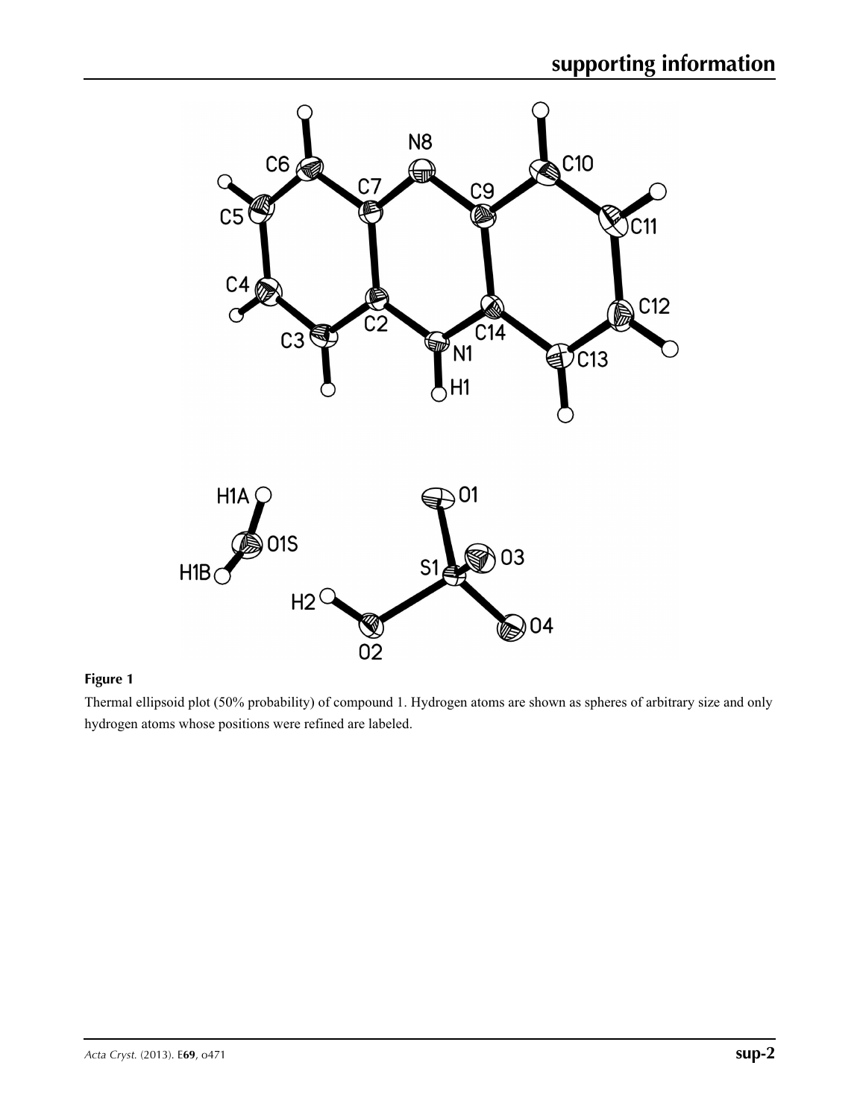

### **Figure 1**

Thermal ellipsoid plot (50% probability) of compound 1. Hydrogen atoms are shown as spheres of arbitrary size and only hydrogen atoms whose positions were refined are labeled.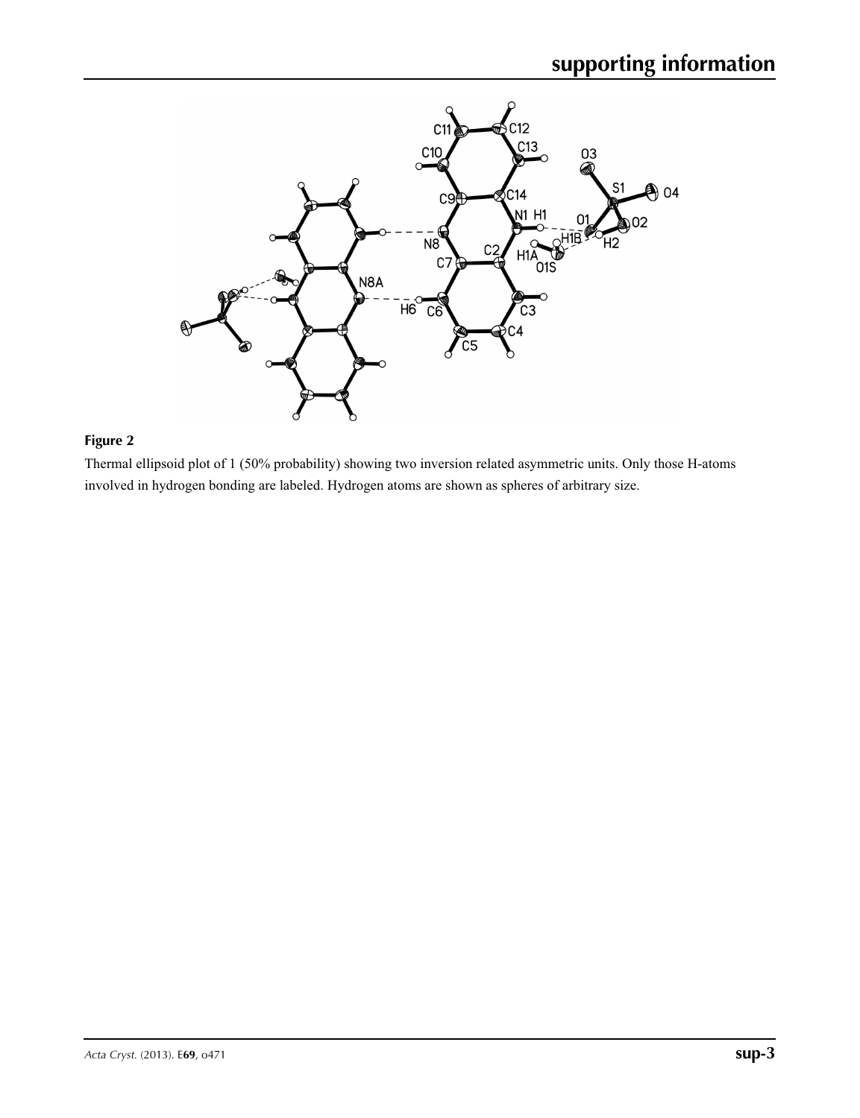

#### **Figure 2**

Thermal ellipsoid plot of 1 (50% probability) showing two inversion related asymmetric units. Only those H-atoms involved in hydrogen bonding are labeled. Hydrogen atoms are shown as spheres of arbitrary size.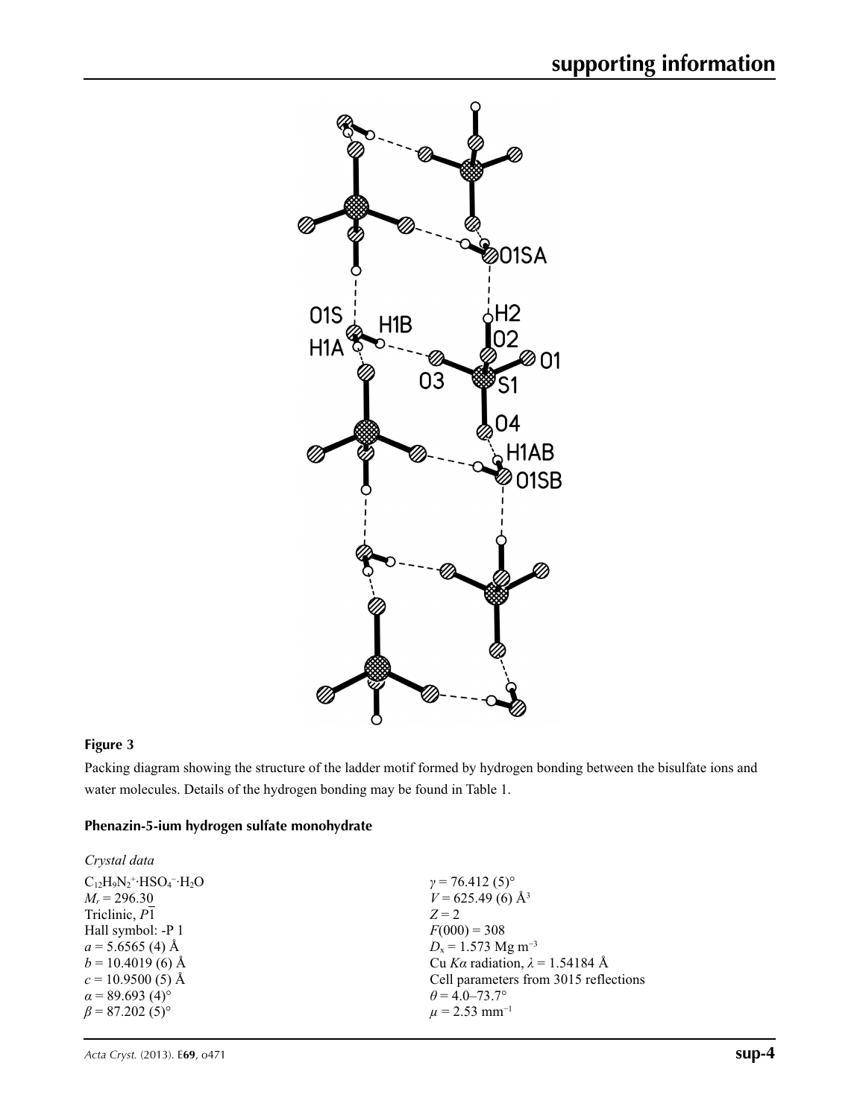

## **Figure 3**

Packing diagram showing the structure of the ladder motif formed by hydrogen bonding between the bisulfate ions and water molecules. Details of the hydrogen bonding may be found in Table 1.

### **Phenazin-5-ium hydrogen sulfate monohydrate**

| $C_{12}H_9N_2$ <sup>+</sup> ·HSO <sub>4</sub> <sup>-</sup> ·H <sub>2</sub> O | $\gamma = 76.412(5)$ °                 |
|------------------------------------------------------------------------------|----------------------------------------|
| $M_r = 296.30$                                                               | $V = 625.49(6)$ Å <sup>3</sup>         |
| Triclinic, P1                                                                | $Z=2$                                  |
| Hall symbol: -P 1                                                            | $F(000) = 308$                         |
| $a = 5.6565(4)$ Å                                                            | $D_x = 1.573$ Mg m <sup>-3</sup>       |
| $b = 10.4019$ (6) Å                                                          | Cu Ka radiation, $\lambda = 1.54184$ Å |
| $c = 10.9500(5)$ Å                                                           | Cell parameters from 3015 reflections  |
| $\alpha$ = 89.693 (4) <sup>o</sup>                                           | $\theta$ = 4.0–73.7°                   |
| $\beta$ = 87.202 (5) <sup>o</sup>                                            | $\mu$ = 2.53 mm <sup>-1</sup>          |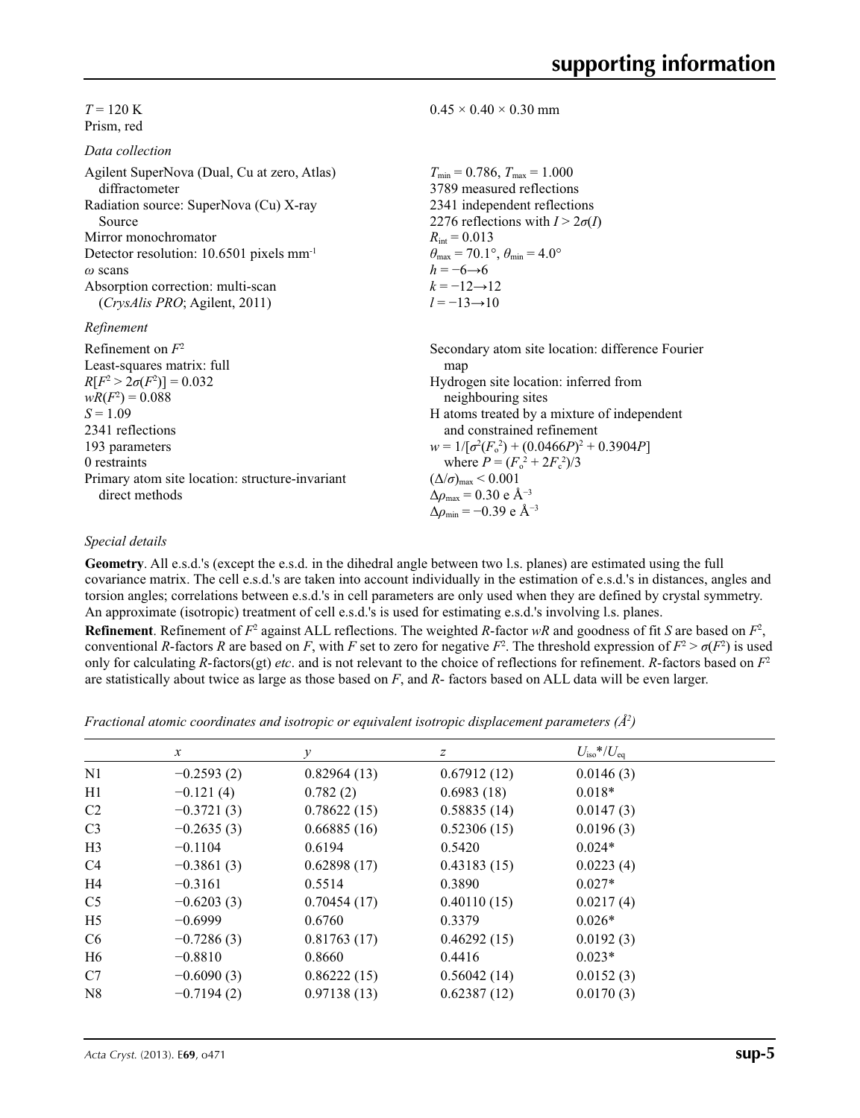$T = 120 \text{ K}$ Prism, red

| Data collection |  |
|-----------------|--|
|-----------------|--|

| Agilent SuperNova (Dual, Cu at zero, Atlas)<br>diffractometer | $T_{\min} = 0.786$ , $T_{\max} = 1.000$<br>3789 measured reflections    |
|---------------------------------------------------------------|-------------------------------------------------------------------------|
| Radiation source: SuperNova (Cu) X-ray<br>Source              | 2341 independent reflections<br>2276 reflections with $I > 2\sigma(I)$  |
| Mirror monochromator                                          | $R_{\text{int}} = 0.013$                                                |
| Detector resolution: 10.6501 pixels mm <sup>-1</sup>          | $\theta_{\text{max}} = 70.1^{\circ}, \theta_{\text{min}} = 4.0^{\circ}$ |
| $\omega$ scans                                                | $h = -6 \rightarrow 6$                                                  |
| Absorption correction: multi-scan                             | $k = -12 \rightarrow 12$                                                |
| <i>(CrysAlis PRO</i> ; Agilent, 2011)                         | $l = -13 \rightarrow 10$                                                |
| Refinement                                                    |                                                                         |
| Refinement on $F^2$                                           | Secondary atom site location: difference Fourier                        |
| Least-squares matrix: full                                    | map                                                                     |
| $R[F^2 > 2\sigma(F^2)] = 0.032$                               | Hydrogen site location: inferred from                                   |
| $wR(F^2) = 0.088$                                             | neighbouring sites                                                      |
| $S = 1.09$                                                    | H atoms treated by a mixture of independent                             |
| 2341 reflections                                              | and constrained refinement                                              |
| 193 parameters                                                | $w = 1/[\sigma^2(F_0^2) + (0.0466P)^2 + 0.3904P]$                       |
| 0 restraints                                                  | where $P = (F_0^2 + 2F_c^2)/3$                                          |
| Primary atom site location: structure-invariant               | $(\Delta/\sigma)_{\text{max}}$ < 0.001                                  |
| direct methods                                                | $\Delta\rho_{\text{max}}$ = 0.30 e Å <sup>-3</sup>                      |
|                                                               | $\Delta \rho_{\rm min} = -0.39$ e Å <sup>-3</sup>                       |

#### *Special details*

**Geometry**. All e.s.d.'s (except the e.s.d. in the dihedral angle between two l.s. planes) are estimated using the full covariance matrix. The cell e.s.d.'s are taken into account individually in the estimation of e.s.d.'s in distances, angles and torsion angles; correlations between e.s.d.'s in cell parameters are only used when they are defined by crystal symmetry. An approximate (isotropic) treatment of cell e.s.d.'s is used for estimating e.s.d.'s involving l.s. planes.

 $0.45 \times 0.40 \times 0.30$  mm

**Refinement**. Refinement of  $F^2$  against ALL reflections. The weighted *R*-factor  $wR$  and goodness of fit *S* are based on  $F^2$ , conventional *R*-factors *R* are based on *F*, with *F* set to zero for negative *F*<sup>2</sup>. The threshold expression of  $F^2 > \sigma(F^2)$  is used only for calculating *R*-factors(gt) *etc*. and is not relevant to the choice of reflections for refinement. *R*-factors based on *F*<sup>2</sup> are statistically about twice as large as those based on *F*, and *R*- factors based on ALL data will be even larger.

*Fractional atomic coordinates and isotropic or equivalent isotropic displacement parameters (Å<sup>2</sup>)* 

|                | $\mathcal{X}$ | $\mathcal{Y}$ | $\boldsymbol{Z}$ | $U_{\rm iso}*/U_{\rm eq}$ |  |
|----------------|---------------|---------------|------------------|---------------------------|--|
| N <sub>1</sub> | $-0.2593(2)$  | 0.82964(13)   | 0.67912(12)      | 0.0146(3)                 |  |
| H1             | $-0.121(4)$   | 0.782(2)      | 0.6983(18)       | $0.018*$                  |  |
| C <sub>2</sub> | $-0.3721(3)$  | 0.78622(15)   | 0.58835(14)      | 0.0147(3)                 |  |
| C <sub>3</sub> | $-0.2635(3)$  | 0.66885(16)   | 0.52306(15)      | 0.0196(3)                 |  |
| H <sub>3</sub> | $-0.1104$     | 0.6194        | 0.5420           | $0.024*$                  |  |
| C <sub>4</sub> | $-0.3861(3)$  | 0.62898(17)   | 0.43183(15)      | 0.0223(4)                 |  |
| H4             | $-0.3161$     | 0.5514        | 0.3890           | $0.027*$                  |  |
| C <sub>5</sub> | $-0.6203(3)$  | 0.70454(17)   | 0.40110(15)      | 0.0217(4)                 |  |
| H <sub>5</sub> | $-0.6999$     | 0.6760        | 0.3379           | $0.026*$                  |  |
| C <sub>6</sub> | $-0.7286(3)$  | 0.81763(17)   | 0.46292(15)      | 0.0192(3)                 |  |
| H <sub>6</sub> | $-0.8810$     | 0.8660        | 0.4416           | $0.023*$                  |  |
| C7             | $-0.6090(3)$  | 0.86222(15)   | 0.56042(14)      | 0.0152(3)                 |  |
| N8             | $-0.7194(2)$  | 0.97138(13)   | 0.62387(12)      | 0.0170(3)                 |  |
|                |               |               |                  |                           |  |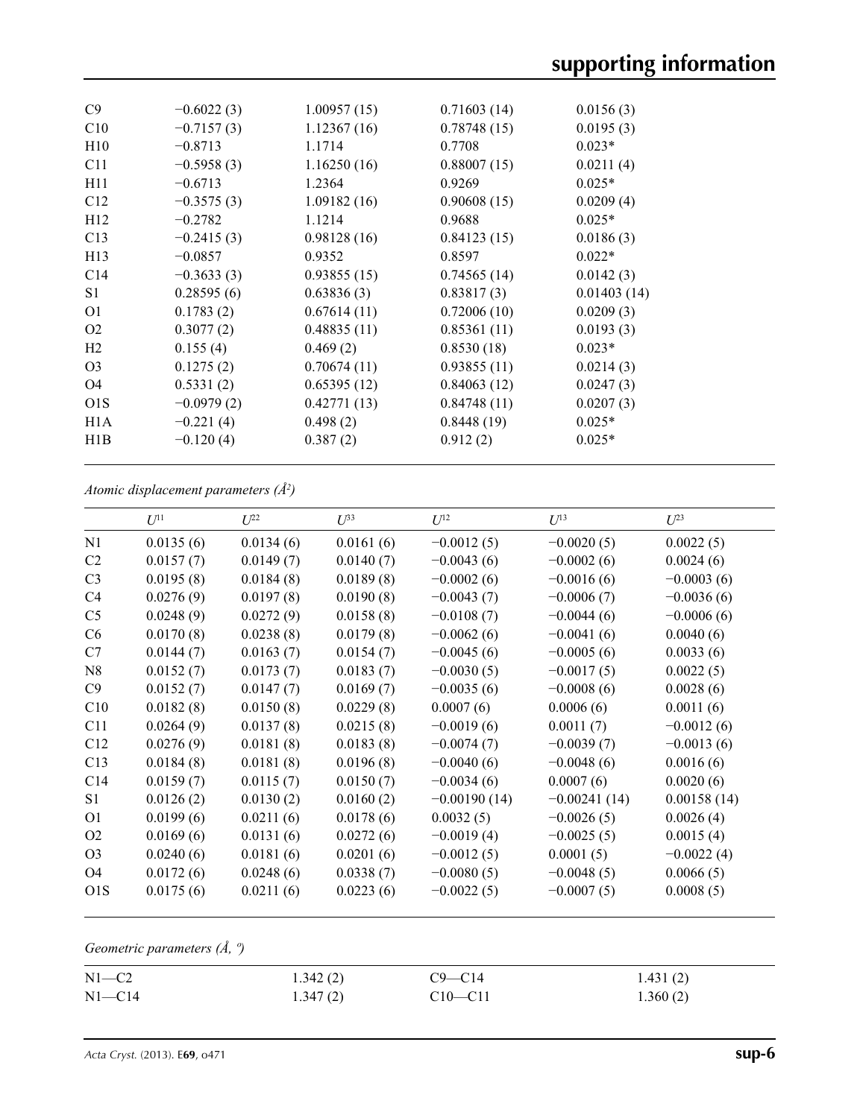| C9             | $-0.6022(3)$ | 1.00957(15) | 0.71603(14) | 0.0156(3)   |
|----------------|--------------|-------------|-------------|-------------|
| C10            | $-0.7157(3)$ | 1.12367(16) | 0.78748(15) | 0.0195(3)   |
| H10            | $-0.8713$    | 1.1714      | 0.7708      | $0.023*$    |
| C11            | $-0.5958(3)$ | 1.16250(16) | 0.88007(15) | 0.0211(4)   |
| H11            | $-0.6713$    | 1.2364      | 0.9269      | $0.025*$    |
| C12            | $-0.3575(3)$ | 1.09182(16) | 0.90608(15) | 0.0209(4)   |
| H12            | $-0.2782$    | 1.1214      | 0.9688      | $0.025*$    |
| C13            | $-0.2415(3)$ | 0.98128(16) | 0.84123(15) | 0.0186(3)   |
| H13            | $-0.0857$    | 0.9352      | 0.8597      | $0.022*$    |
| C14            | $-0.3633(3)$ | 0.93855(15) | 0.74565(14) | 0.0142(3)   |
| S <sub>1</sub> | 0.28595(6)   | 0.63836(3)  | 0.83817(3)  | 0.01403(14) |
| O <sub>1</sub> | 0.1783(2)    | 0.67614(11) | 0.72006(10) | 0.0209(3)   |
| O <sub>2</sub> | 0.3077(2)    | 0.48835(11) | 0.85361(11) | 0.0193(3)   |
| H <sub>2</sub> | 0.155(4)     | 0.469(2)    | 0.8530(18)  | $0.023*$    |
| O <sub>3</sub> | 0.1275(2)    | 0.70674(11) | 0.93855(11) | 0.0214(3)   |
| O <sub>4</sub> | 0.5331(2)    | 0.65395(12) | 0.84063(12) | 0.0247(3)   |
| O1S            | $-0.0979(2)$ | 0.42771(13) | 0.84748(11) | 0.0207(3)   |
| H1A            | $-0.221(4)$  | 0.498(2)    | 0.8448(19)  | $0.025*$    |
| H1B            | $-0.120(4)$  | 0.387(2)    | 0.912(2)    | $0.025*$    |
|                |              |             |             |             |

*Atomic displacement parameters (Å2 )*

|                  | $U^{11}$  | $L^{22}$  | $\mathcal{L}^{\beta 3}$ | $U^{12}$       | $U^{13}$       | $U^{23}$     |
|------------------|-----------|-----------|-------------------------|----------------|----------------|--------------|
| N1               | 0.0135(6) | 0.0134(6) | 0.0161(6)               | $-0.0012(5)$   | $-0.0020(5)$   | 0.0022(5)    |
| C2               | 0.0157(7) | 0.0149(7) | 0.0140(7)               | $-0.0043(6)$   | $-0.0002(6)$   | 0.0024(6)    |
| C <sub>3</sub>   | 0.0195(8) | 0.0184(8) | 0.0189(8)               | $-0.0002(6)$   | $-0.0016(6)$   | $-0.0003(6)$ |
| C4               | 0.0276(9) | 0.0197(8) | 0.0190(8)               | $-0.0043(7)$   | $-0.0006(7)$   | $-0.0036(6)$ |
| C <sub>5</sub>   | 0.0248(9) | 0.0272(9) | 0.0158(8)               | $-0.0108(7)$   | $-0.0044(6)$   | $-0.0006(6)$ |
| C <sub>6</sub>   | 0.0170(8) | 0.0238(8) | 0.0179(8)               | $-0.0062(6)$   | $-0.0041(6)$   | 0.0040(6)    |
| C7               | 0.0144(7) | 0.0163(7) | 0.0154(7)               | $-0.0045(6)$   | $-0.0005(6)$   | 0.0033(6)    |
| N8               | 0.0152(7) | 0.0173(7) | 0.0183(7)               | $-0.0030(5)$   | $-0.0017(5)$   | 0.0022(5)    |
| C9               | 0.0152(7) | 0.0147(7) | 0.0169(7)               | $-0.0035(6)$   | $-0.0008(6)$   | 0.0028(6)    |
| C10              | 0.0182(8) | 0.0150(8) | 0.0229(8)               | 0.0007(6)      | 0.0006(6)      | 0.0011(6)    |
| C11              | 0.0264(9) | 0.0137(8) | 0.0215(8)               | $-0.0019(6)$   | 0.0011(7)      | $-0.0012(6)$ |
| C12              | 0.0276(9) | 0.0181(8) | 0.0183(8)               | $-0.0074(7)$   | $-0.0039(7)$   | $-0.0013(6)$ |
| C13              | 0.0184(8) | 0.0181(8) | 0.0196(8)               | $-0.0040(6)$   | $-0.0048(6)$   | 0.0016(6)    |
| C <sub>14</sub>  | 0.0159(7) | 0.0115(7) | 0.0150(7)               | $-0.0034(6)$   | 0.0007(6)      | 0.0020(6)    |
| S1               | 0.0126(2) | 0.0130(2) | 0.0160(2)               | $-0.00190(14)$ | $-0.00241(14)$ | 0.00158(14)  |
| O1               | 0.0199(6) | 0.0211(6) | 0.0178(6)               | 0.0032(5)      | $-0.0026(5)$   | 0.0026(4)    |
| O <sub>2</sub>   | 0.0169(6) | 0.0131(6) | 0.0272(6)               | $-0.0019(4)$   | $-0.0025(5)$   | 0.0015(4)    |
| O <sub>3</sub>   | 0.0240(6) | 0.0181(6) | 0.0201(6)               | $-0.0012(5)$   | 0.0001(5)      | $-0.0022(4)$ |
| O <sub>4</sub>   | 0.0172(6) | 0.0248(6) | 0.0338(7)               | $-0.0080(5)$   | $-0.0048(5)$   | 0.0066(5)    |
| O <sub>1</sub> S | 0.0175(6) | 0.0211(6) | 0.0223(6)               | $-0.0022(5)$   | $-0.0007(5)$   | 0.0008(5)    |
|                  |           |           |                         |                |                |              |

*Geometric parameters (Å, º)*

| $N1 - C2$  | 1.342(2) | $C9 - C14$  | 1.431(2) |
|------------|----------|-------------|----------|
| $N1 - C14$ | 1.347(2) | $C10 - C11$ | 1.360(2) |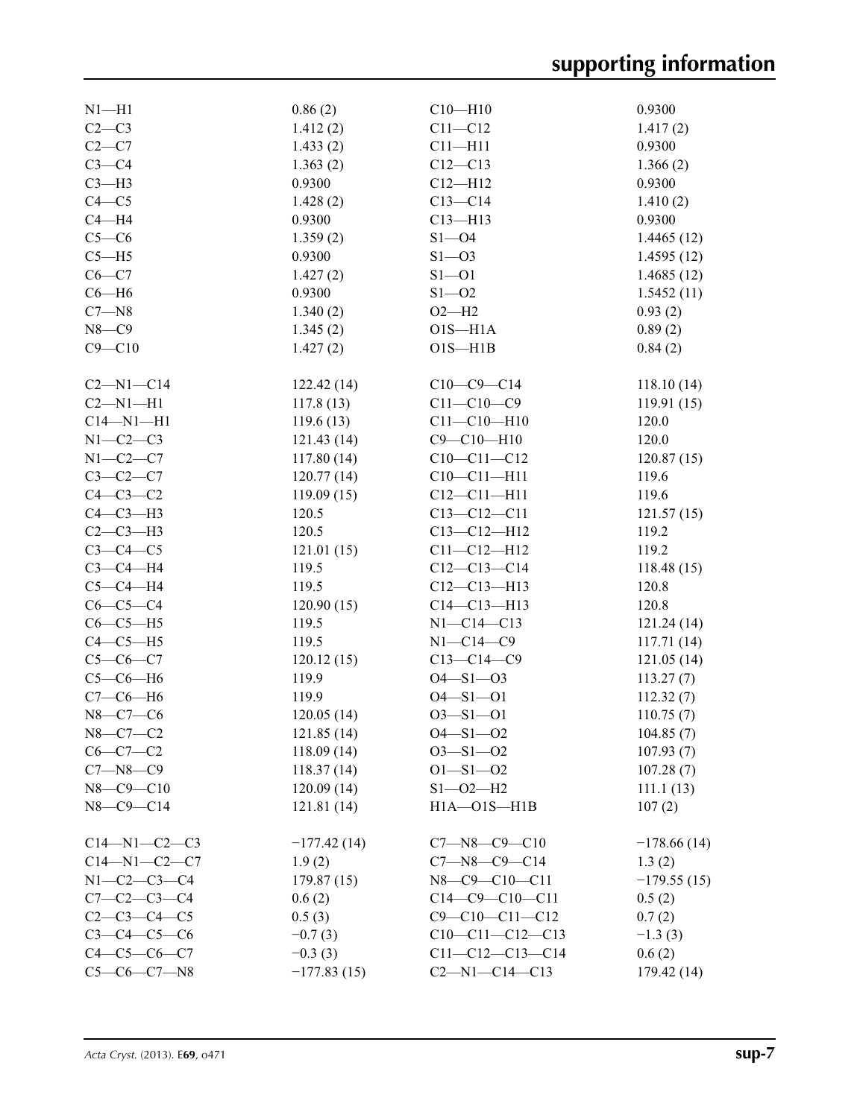| $N1 - H1$            | 0.86(2)       | $C10-H10$              | 0.9300        |
|----------------------|---------------|------------------------|---------------|
| $C2-C3$              | 1.412(2)      | $C11 - C12$            | 1.417(2)      |
| $C2-C7$              | 1.433(2)      | $C11 - H11$            | 0.9300        |
|                      |               |                        |               |
| $C3-C4$              | 1.363(2)      | $C12 - C13$            | 1.366(2)      |
| $C3-H3$              | 0.9300        | $C12 - H12$            | 0.9300        |
| $C4 - C5$            | 1.428(2)      | $C13 - C14$            | 1.410(2)      |
| $C4 - H4$            | 0.9300        | $C13 - H13$            | 0.9300        |
| $C5-C6$              | 1.359(2)      | $S1 - 04$              | 1.4465(12)    |
| $C5 - H5$            | 0.9300        | $S1 - 03$              | 1.4595(12)    |
| $C6 - C7$            | 1.427(2)      | $S1 - 01$              | 1.4685(12)    |
| $C6 - H6$            | 0.9300        | $S1 - 02$              | 1.5452(11)    |
| $C7 - N8$            | 1.340(2)      | $O2-H2$                | 0.93(2)       |
| $N8 - C9$            | 1.345(2)      | $O1S - H1A$            | 0.89(2)       |
| $C9 - C10$           | 1.427(2)      | $O1S - H1B$            | 0.84(2)       |
|                      |               |                        |               |
| $C2-M1-C14$          | 122.42(14)    | $C10-C9-C14$           | 118.10(14)    |
| $C2-M1-H1$           | 117.8(13)     | $C11 - C10 - C9$       | 119.91(15)    |
| $C14 - N1 - H1$      | 119.6(13)     | $C11 - C10 - H10$      | 120.0         |
| $N1-C2-C3$           | 121.43(14)    | $C9 - C10 - H10$       | 120.0         |
|                      |               |                        |               |
| $N1-C2-C7$           | 117.80(14)    | $C10-C11-C12$          | 120.87(15)    |
| $C3-C2-C7$           | 120.77(14)    | $C10-C11-H11$          | 119.6         |
| $C4-C3-C2$           | 119.09(15)    | $C12 - C11 - H11$      | 119.6         |
| $C4-C3-H3$           | 120.5         | $C13 - C12 - C11$      | 121.57(15)    |
| $C2-C3-H3$           | 120.5         | $C13 - C12 - H12$      | 119.2         |
| $C3-C4-C5$           | 121.01(15)    | $C11 - C12 - H12$      | 119.2         |
| $C3-C4-H4$           | 119.5         | $C12-C13-C14$          | 118.48(15)    |
| $C5-C4-H4$           | 119.5         | $C12 - C13 - H13$      | 120.8         |
| $C6-C5-C4$           | 120.90(15)    | $C14 - C13 - H13$      | 120.8         |
| $C6-C5-H5$           | 119.5         | $N1 - C14 - C13$       | 121.24(14)    |
| $C4-C5-H5$           | 119.5         | $N1 - C14 - C9$        | 117.71(14)    |
| $C5-C6-C7$           | 120.12(15)    | $C13 - C14 - C9$       | 121.05(14)    |
| $C5-C6-H6$           | 119.9         | $O4 - S1 - O3$         | 113.27(7)     |
| $C7-C6-H6$           | 119.9         | $O4 - S1 - O1$         | 112.32(7)     |
| $N8 - C7 - C6$       | 120.05(14)    | $O3 - S1 - O1$         | 110.75(7)     |
| $N8 - C7 - C2$       | 121.85(14)    | $O4 - S1 - O2$         | 104.85(7)     |
| $C6 - C7 - C2$       | 118.09(14)    | $O3 - S1 - O2$         |               |
|                      |               |                        | 107.93(7)     |
| $C7 - N8 - C9$       | 118.37(14)    | $O1 - S1 - O2$         | 107.28(7)     |
| $N8 - C9 - C10$      | 120.09(14)    | $S1 - O2 - H2$         | 111.1(13)     |
| $N8 - C9 - C14$      | 121.81(14)    | $H1A - O1S - H1B$      | 107(2)        |
|                      |               |                        |               |
| $C14 - N1 - C2 - C3$ | $-177.42(14)$ | $C7 - N8 - C9 - C10$   | $-178.66(14)$ |
| $C14 - N1 - C2 - C7$ | 1.9(2)        | $C7 - N8 - C9 - C14$   | 1.3(2)        |
| $N1 - C2 - C3 - C4$  | 179.87(15)    | N8-C9-C10-C11          | $-179.55(15)$ |
| $C7 - C2 - C3 - C4$  | 0.6(2)        | $C14-C9-C10-C11$       | 0.5(2)        |
| $C2 - C3 - C4 - C5$  | 0.5(3)        | $C9 - C10 - C11 - C12$ | 0.7(2)        |
| $C3 - C4 - C5 - C6$  | $-0.7(3)$     | $C10-C11-C12-C13$      | $-1.3(3)$     |
| $C4 - C5 - C6 - C7$  | $-0.3(3)$     | $C11-C12-C13-C14$      | 0.6(2)        |
| $C5-C6-C7-N8$        | $-177.83(15)$ | $C2 - N1 - C14 - C13$  | 179.42 (14)   |